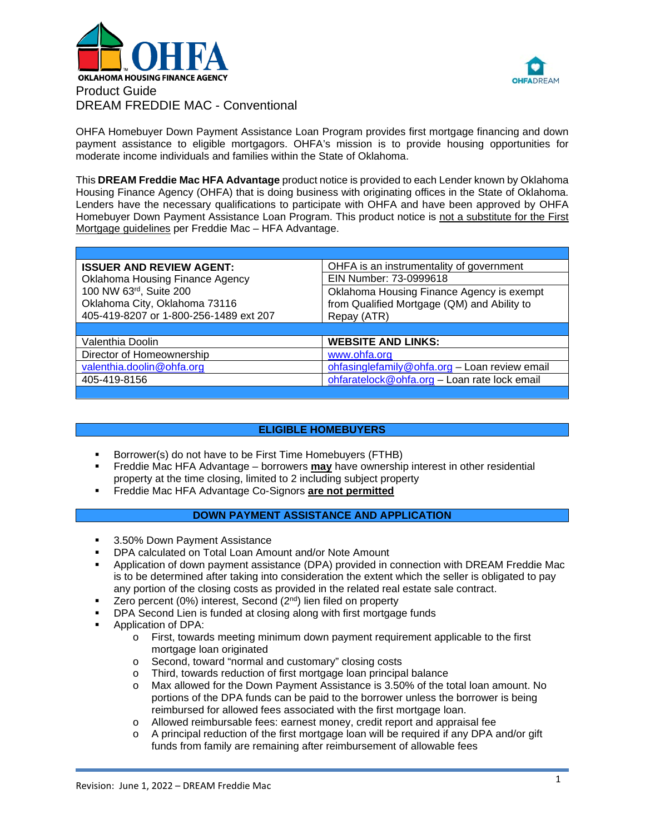



OHFA Homebuyer Down Payment Assistance Loan Program provides first mortgage financing and down payment assistance to eligible mortgagors. OHFA's mission is to provide housing opportunities for moderate income individuals and families within the State of Oklahoma.

This **DREAM Freddie Mac HFA Advantage** product notice is provided to each Lender known by Oklahoma Housing Finance Agency (OHFA) that is doing business with originating offices in the State of Oklahoma. Lenders have the necessary qualifications to participate with OHFA and have been approved by OHFA Homebuyer Down Payment Assistance Loan Program. This product notice is not a substitute for the First Mortgage guidelines per Freddie Mac – HFA Advantage.

| <b>ISSUER AND REVIEW AGENT:</b>        | OHFA is an instrumentality of government      |  |  |
|----------------------------------------|-----------------------------------------------|--|--|
| Oklahoma Housing Finance Agency        | EIN Number: 73-0999618                        |  |  |
| 100 NW 63rd, Suite 200                 | Oklahoma Housing Finance Agency is exempt     |  |  |
| Oklahoma City, Oklahoma 73116          | from Qualified Mortgage (QM) and Ability to   |  |  |
| 405-419-8207 or 1-800-256-1489 ext 207 | Repay (ATR)                                   |  |  |
|                                        |                                               |  |  |
| Valenthia Doolin                       | <b>WEBSITE AND LINKS:</b>                     |  |  |
| Director of Homeownership              | www.ohfa.org                                  |  |  |
| valenthia.doolin@ohfa.org              | ohfasinglefamily@ohfa.org - Loan review email |  |  |
|                                        |                                               |  |  |
| 405-419-8156                           | ohfaratelock@ohfa.org - Loan rate lock email  |  |  |

# **ELIGIBLE HOMEBUYERS**

- Borrower(s) do not have to be First Time Homebuyers (FTHB)
- Freddie Mac HFA Advantage borrowers **may** have ownership interest in other residential property at the time closing, limited to 2 including subject property
- Freddie Mac HFA Advantage Co-Signors **are not permitted**

# **DOWN PAYMENT ASSISTANCE AND APPLICATION**

- 3.50% Down Payment Assistance
- **DPA calculated on Total Loan Amount and/or Note Amount**
- Application of down payment assistance (DPA) provided in connection with DREAM Freddie Mac is to be determined after taking into consideration the extent which the seller is obligated to pay any portion of the closing costs as provided in the related real estate sale contract.
- E Zero percent (0%) interest, Second ( $2<sup>nd</sup>$ ) lien filed on property
- DPA Second Lien is funded at closing along with first mortgage funds
- Application of DPA:
	- o First, towards meeting minimum down payment requirement applicable to the first mortgage loan originated
	- o Second, toward "normal and customary" closing costs<br>
	o Third, towards reduction of first mortgage loan principa
	- Third, towards reduction of first mortgage loan principal balance
	- o Max allowed for the Down Payment Assistance is 3.50% of the total loan amount. No portions of the DPA funds can be paid to the borrower unless the borrower is being reimbursed for allowed fees associated with the first mortgage loan.
	- o Allowed reimbursable fees: earnest money, credit report and appraisal fee  $\circ$  A principal reduction of the first mortgage loan will be required if any DPA a
	- A principal reduction of the first mortgage loan will be required if any DPA and/or gift funds from family are remaining after reimbursement of allowable fees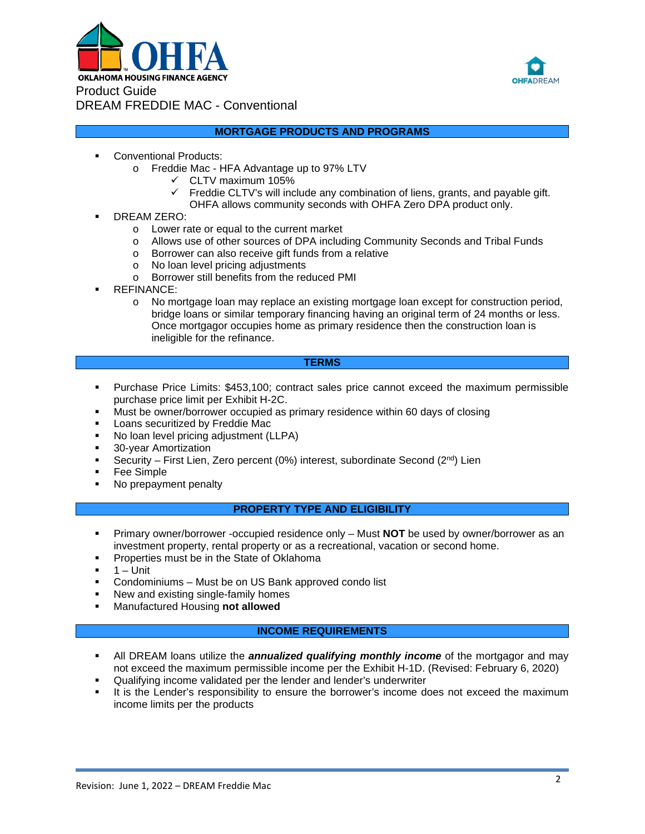



### **MORTGAGE PRODUCTS AND PROGRAMS**

- Conventional Products:
	- o Freddie Mac HFA Advantage up to 97% LTV
		- $\checkmark$  CLTV maximum 105%
		- $\checkmark$  Freddie CLTV's will include any combination of liens, grants, and payable gift. OHFA allows community seconds with OHFA Zero DPA product only.
- DREAM ZERO:
	- o Lower rate or equal to the current market
	- o Allows use of other sources of DPA including Community Seconds and Tribal Funds
	- o Borrower can also receive gift funds from a relative
	- o No loan level pricing adjustments
	- o Borrower still benefits from the reduced PMI
- REFINANCE:
	- o No mortgage loan may replace an existing mortgage loan except for construction period, bridge loans or similar temporary financing having an original term of 24 months or less. Once mortgagor occupies home as primary residence then the construction loan is ineligible for the refinance.

### **TERMS**

- **Purchase Price Limits: \$453,100; contract sales price cannot exceed the maximum permissible** purchase price limit per Exhibit H-2C.
- Must be owner/borrower occupied as primary residence within 60 days of closing
- **Loans securitized by Freddie Mac**
- No loan level pricing adjustment (LLPA)
- 30-year Amortization
- Security First Lien, Zero percent (0%) interest, subordinate Second ( $2^{nd}$ ) Lien
- Fee Simple
- No prepayment penalty

# **PROPERTY TYPE AND ELIGIBILITY**

- Primary owner/borrower -occupied residence only Must **NOT** be used by owner/borrower as an investment property, rental property or as a recreational, vacation or second home.
- **Properties must be in the State of Oklahoma**
- 1 Unit
- **Condominiums Must be on US Bank approved condo list**
- New and existing single-family homes
- Manufactured Housing **not allowed**

## **INCOME REQUIREMENTS**

- All DREAM loans utilize the *annualized qualifying monthly income* of the mortgagor and may not exceed the maximum permissible income per the Exhibit H-1D. (Revised: February 6, 2020)
- Qualifying income validated per the lender and lender's underwriter
- It is the Lender's responsibility to ensure the borrower's income does not exceed the maximum income limits per the products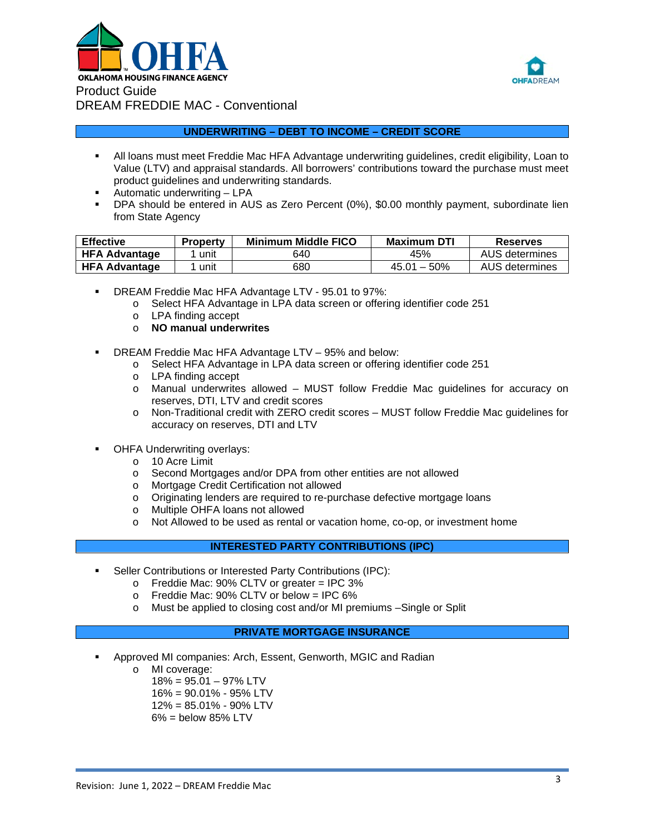



### **UNDERWRITING – DEBT TO INCOME – CREDIT SCORE**

- All loans must meet Freddie Mac HFA Advantage underwriting guidelines, credit eligibility, Loan to Value (LTV) and appraisal standards. All borrowers' contributions toward the purchase must meet product guidelines and underwriting standards.
- Automatic underwriting LPA
- DPA should be entered in AUS as Zero Percent (0%), \$0.00 monthly payment, subordinate lien from State Agency

| <b>Effective</b>     | <b>Property</b> | <b>Minimum Middle FICO</b> | <b>Maximum DTI</b> | <b>Reserves</b> |
|----------------------|-----------------|----------------------------|--------------------|-----------------|
| <b>HFA Advantage</b> | unit            | 640                        | 45%                | AUS determines  |
| <b>HFA Advantage</b> | unit            | 680                        | $45.01 - 50\%$     | AUS determines  |

- DREAM Freddie Mac HFA Advantage LTV 95.01 to 97%:
	- o Select HFA Advantage in LPA data screen or offering identifier code 251
	- o LPA finding accept
	- o **NO manual underwrites**
- DREAM Freddie Mac HFA Advantage LTV 95% and below:
	- o Select HFA Advantage in LPA data screen or offering identifier code 251
	- o LPA finding accept
	- o Manual underwrites allowed MUST follow Freddie Mac guidelines for accuracy on reserves, DTI, LTV and credit scores
	- o Non-Traditional credit with ZERO credit scores MUST follow Freddie Mac guidelines for accuracy on reserves, DTI and LTV
- OHFA Underwriting overlays:
	- o 10 Acre Limit<br>o Second Morto
	- Second Mortgages and/or DPA from other entities are not allowed
	- o Mortgage Credit Certification not allowed
	- o Originating lenders are required to re-purchase defective mortgage loans
	- o Multiple OHFA loans not allowed
	- o Not Allowed to be used as rental or vacation home, co-op, or investment home

### **INTERESTED PARTY CONTRIBUTIONS (IPC)**

- Seller Contributions or Interested Party Contributions (IPC):
	- $\circ$  Freddie Mac: 90% CLTV or greater = IPC 3%
	- o Freddie Mac: 90% CLTV or below = IPC 6%
	- o Must be applied to closing cost and/or MI premiums –Single or Split

### **PRIVATE MORTGAGE INSURANCE**

- Approved MI companies: Arch, Essent, Genworth, MGIC and Radian
	- o MI coverage:
		- $18\% = 95.01 97\%$  LTV
		- 16% = 90.01% 95% LTV
		- 12% = 85.01% 90% LTV
		- $6\%$  = below 85% LTV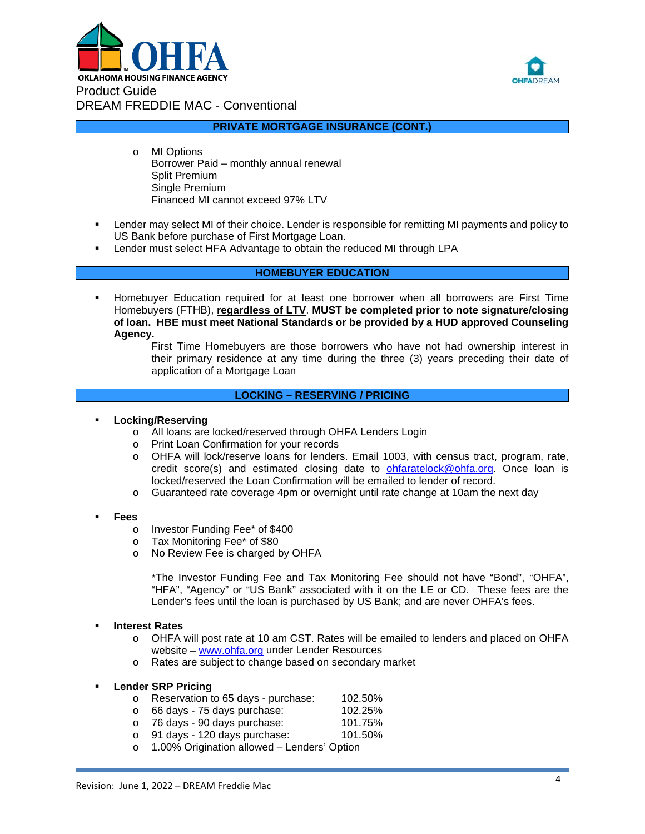



**PRIVATE MORTGAGE INSURANCE (CONT.)**

- o MI Options Borrower Paid – monthly annual renewal Split Premium Single Premium Financed MI cannot exceed 97% LTV
- Lender may select MI of their choice. Lender is responsible for remitting MI payments and policy to US Bank before purchase of First Mortgage Loan.
- Lender must select HFA Advantage to obtain the reduced MI through LPA

# **HOMEBUYER EDUCATION**

- Homebuyer Education required for at least one borrower when all borrowers are First Time Homebuyers (FTHB), **regardless of LTV**. **MUST be completed prior to note signature/closing of loan. HBE must meet National Standards or be provided by a HUD approved Counseling Agency.**
	- First Time Homebuyers are those borrowers who have not had ownership interest in their primary residence at any time during the three (3) years preceding their date of application of a Mortgage Loan

### **LOCKING – RESERVING / PRICING**

- **Locking/Reserving**
	- o All loans are locked/reserved through OHFA Lenders Login
	- o Print Loan Confirmation for your records
	- o OHFA will lock/reserve loans for lenders. Email 1003, with census tract, program, rate, credit score(s) and estimated closing date to **ohfaratelock@ohfa.org**. Once loan is locked/reserved the Loan Confirmation will be emailed to lender of record.
	- o Guaranteed rate coverage 4pm or overnight until rate change at 10am the next day
- **Fees**
	- o Investor Funding Fee\* of \$400
	- o Tax Monitoring Fee\* of \$80<br>o No Review Fee is charged b
	- No Review Fee is charged by OHFA

\*The Investor Funding Fee and Tax Monitoring Fee should not have "Bond", "OHFA", "HFA", "Agency" or "US Bank" associated with it on the LE or CD. These fees are the Lender's fees until the loan is purchased by US Bank; and are never OHFA's fees.

#### **Interest Rates**

- o OHFA will post rate at 10 am CST. Rates will be emailed to lenders and placed on OHFA website – [www.ohfa.org](http://www.ohfa.org/) under Lender Resources
- o Rates are subject to change based on secondary market

### **Lender SRP Pricing**

- o Reservation to 65 days purchase: 102.50%<br>o 66 days 75 days purchase: 102.25%
- o 66 days 75 days purchase: 102.25%
- o 76 days 90 days purchase: 101.75%
- $\circ$  91 days 120 days purchase:
- o 1.00% Origination allowed Lenders' Option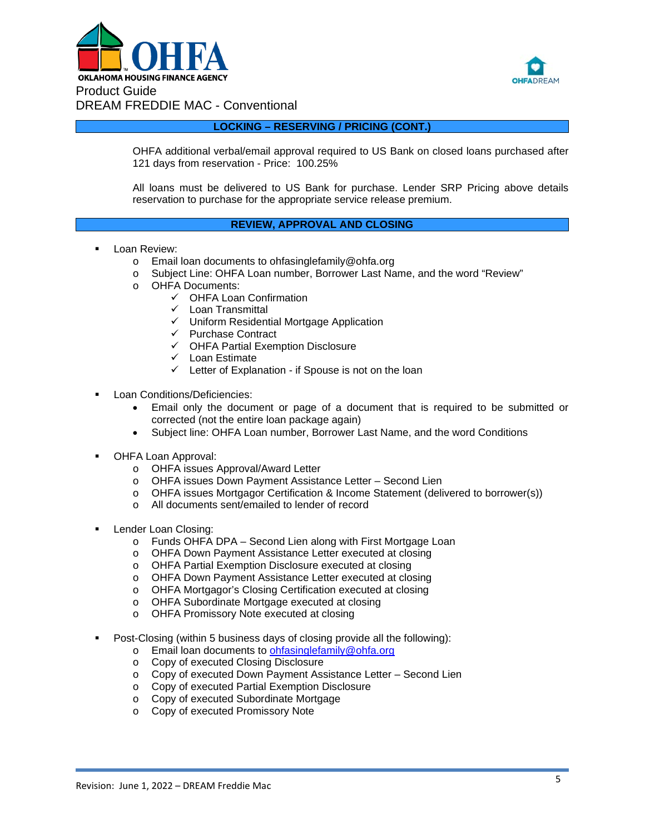



**LOCKING – RESERVING / PRICING (CONT.)**

OHFA additional verbal/email approval required to US Bank on closed loans purchased after 121 days from reservation - Price: 100.25%

All loans must be delivered to US Bank for purchase. Lender SRP Pricing above details reservation to purchase for the appropriate service release premium.

### **REVIEW, APPROVAL AND CLOSING**

- Loan Review:
	- o Email loan documents to ohfasinglefamily@ohfa.org
	- o Subject Line: OHFA Loan number, Borrower Last Name, and the word "Review"<br>OHFA Documents:
	- OHFA Documents:
		- OHFA Loan Confirmation
		- $\checkmark$  Loan Transmittal
		- $\checkmark$  Uniform Residential Mortgage Application
		- $\checkmark$  Purchase Contract
		- $\checkmark$  OHFA Partial Exemption Disclosure
		- $\checkmark$  Loan Estimate
		- $\checkmark$  Letter of Explanation if Spouse is not on the loan
- Loan Conditions/Deficiencies:
	- Email only the document or page of a document that is required to be submitted or corrected (not the entire loan package again)
	- Subject line: OHFA Loan number, Borrower Last Name, and the word Conditions
- OHFA Loan Approval:
	- o OHFA issues Approval/Award Letter<br>○ OHFA issues Down Payment Assista
	- o OHFA issues Down Payment Assistance Letter Second Lien<br>
	o OHFA issues Mortgagor Certification & Income Statement (deli
	- OHFA issues Mortgagor Certification & Income Statement (delivered to borrower(s))
	- o All documents sent/emailed to lender of record
- Lender Loan Closing:
	- o Funds OHFA DPA Second Lien along with First Mortgage Loan<br>
	o OHFA Down Payment Assistance Letter executed at closing
	- o OHFA Down Payment Assistance Letter executed at closing
	- o OHFA Partial Exemption Disclosure executed at closing
	- o OHFA Down Payment Assistance Letter executed at closing
	- o OHFA Mortgagor's Closing Certification executed at closing
	- o OHFA Subordinate Mortgage executed at closing
	- o OHFA Promissory Note executed at closing
- Post-Closing (within 5 business days of closing provide all the following):
	- o Email loan documents to [ohfasinglefamily@ohfa.org](mailto:ohfasinglefamily@ohfa.org)
	- o Copy of executed Closing Disclosure
	- o Copy of executed Down Payment Assistance Letter Second Lien
	- o Copy of executed Partial Exemption Disclosure
	- o Copy of executed Subordinate Mortgage
	- o Copy of executed Promissory Note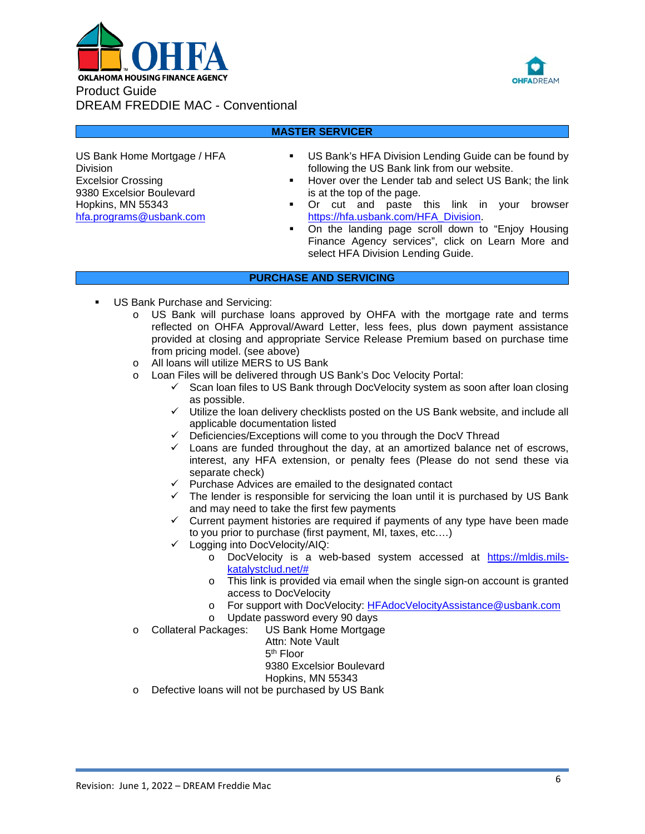



## **MASTER SERVICER**

US Bank Home Mortgage / HFA Division Excelsior Crossing 9380 Excelsior Boulevard Hopkins, MN 55343 [hfa.programs@usbank.com](mailto:hfa.programs@usbank.com)

- US Bank's HFA Division Lending Guide can be found by following the US Bank link from our website.
- **Hover over the Lender tab and select US Bank; the link** is at the top of the page.
- Or cut and paste this link in your browser [https://hfa.usbank.com/HFA\\_Division.](https://hfa.usbank.com/HFA_Division)
- On the landing page scroll down to "Enjoy Housing Finance Agency services", click on Learn More and select HFA Division Lending Guide.

### **PURCHASE AND SERVICING**

- US Bank Purchase and Servicing:
	- o US Bank will purchase loans approved by OHFA with the mortgage rate and terms reflected on OHFA Approval/Award Letter, less fees, plus down payment assistance provided at closing and appropriate Service Release Premium based on purchase time from pricing model. (see above)
	- o All loans will utilize MERS to US Bank
	- o Loan Files will be delivered through US Bank's Doc Velocity Portal:
		- $\checkmark$  Scan loan files to US Bank through DocVelocity system as soon after loan closing as possible.
		- $\checkmark$  Utilize the loan delivery checklists posted on the US Bank website, and include all applicable documentation listed
		- $\checkmark$  Deficiencies/Exceptions will come to you through the DocV Thread
		- $\checkmark$  Loans are funded throughout the day, at an amortized balance net of escrows, interest, any HFA extension, or penalty fees (Please do not send these via separate check)
		- $\checkmark$  Purchase Advices are emailed to the designated contact
		- $\checkmark$  The lender is responsible for servicing the loan until it is purchased by US Bank and may need to take the first few payments
		- $\checkmark$  Current payment histories are required if payments of any type have been made to you prior to purchase (first payment, MI, taxes, etc.…)
		- $\checkmark$  Logging into DocVelocity/AIQ:
			- o DocVelocity is a web-based system accessed at [https://mldis.mils](https://mldis.mils-katalystclud.net/)[katalystclud.net/#](https://mldis.mils-katalystclud.net/)
			- o This link is provided via email when the single sign-on account is granted access to DocVelocity
			- o For support with DocVelocity: <u>HFAdocVelocityAssistance@usbank.com</u><br>o Undate password every 90 days
			-
	- o Update password every 90 days<br>Collateral Packages: US Bank Home Mortgag o Collateral Packages: US Bank Home Mortgage
		- Attn: Note Vault
			- 5th Floor

9380 Excelsior Boulevard

- Hopkins, MN 55343
- o Defective loans will not be purchased by US Bank